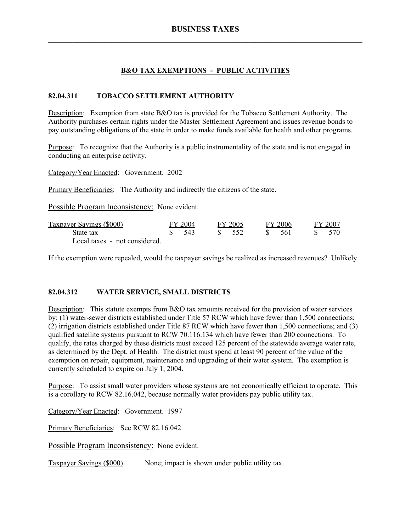## **B&O TAX EXEMPTIONS - PUBLIC ACTIVITIES**

### **82.04.311 TOBACCO SETTLEMENT AUTHORITY**

Description: Exemption from state B&O tax is provided for the Tobacco Settlement Authority. The Authority purchases certain rights under the Master Settlement Agreement and issues revenue bonds to pay outstanding obligations of the state in order to make funds available for health and other programs.

Purpose: To recognize that the Authority is a public instrumentality of the state and is not engaged in conducting an enterprise activity.

Category/Year Enacted: Government. 2002

Primary Beneficiaries: The Authority and indirectly the citizens of the state.

Possible Program Inconsistency: None evident.

| Taxpayer Savings (\$000)      | FY 2004 | FY 2005           |        | FY 2006 | FY 2007 |
|-------------------------------|---------|-------------------|--------|---------|---------|
| State tax                     | - 543   | $\frac{1}{2}$ 552 | - 85 - | - 561   | 570     |
| Local taxes - not considered. |         |                   |        |         |         |

If the exemption were repealed, would the taxpayer savings be realized as increased revenues? Unlikely.

#### **82.04.312 WATER SERVICE, SMALL DISTRICTS**

Description: This statute exempts from B&O tax amounts received for the provision of water services by: (1) water-sewer districts established under Title 57 RCW which have fewer than 1,500 connections; (2) irrigation districts established under Title 87 RCW which have fewer than 1,500 connections; and (3) qualified satellite systems pursuant to RCW 70.116.134 which have fewer than 200 connections. To qualify, the rates charged by these districts must exceed 125 percent of the statewide average water rate, as determined by the Dept. of Health. The district must spend at least 90 percent of the value of the exemption on repair, equipment, maintenance and upgrading of their water system. The exemption is currently scheduled to expire on July 1, 2004.

Purpose: To assist small water providers whose systems are not economically efficient to operate. This is a corollary to RCW 82.16.042, because normally water providers pay public utility tax.

Category/Year Enacted: Government. 1997

Primary Beneficiaries: See RCW 82.16.042

Possible Program Inconsistency: None evident.

Taxpayer Savings (\$000) None; impact is shown under public utility tax.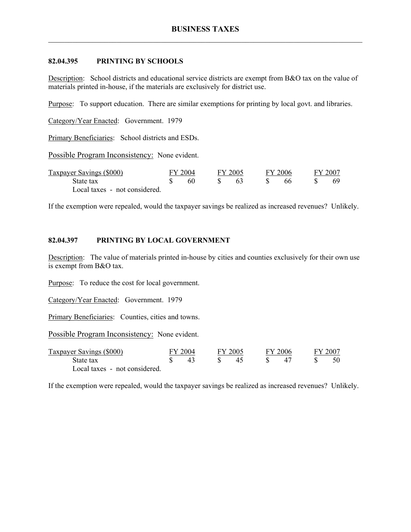### **82.04.395 PRINTING BY SCHOOLS**

Description: School districts and educational service districts are exempt from B&O tax on the value of materials printed in-house, if the materials are exclusively for district use.

Purpose: To support education. There are similar exemptions for printing by local govt. and libraries.

Category/Year Enacted: Government. 1979

Primary Beneficiaries: School districts and ESDs.

Possible Program Inconsistency: None evident.

| Taxpayer Savings (\$000)      | FY 2004<br>60 |  | FY 2005 |  | FY 2006 |  | FY 2007 |  |  |
|-------------------------------|---------------|--|---------|--|---------|--|---------|--|--|
| State tax                     |               |  |         |  | 66      |  | 69.     |  |  |
| Local taxes - not considered. |               |  |         |  |         |  |         |  |  |

If the exemption were repealed, would the taxpayer savings be realized as increased revenues? Unlikely.

## **82.04.397 PRINTING BY LOCAL GOVERNMENT**

Description: The value of materials printed in-house by cities and counties exclusively for their own use is exempt from B&O tax.

Purpose: To reduce the cost for local government.

Category/Year Enacted: Government. 1979

Primary Beneficiaries: Counties, cities and towns.

Possible Program Inconsistency: None evident.

| Taxpayer Savings (\$000)      | FY 2004 | FY 2005 |                | FY 2006 | FY 2007 |
|-------------------------------|---------|---------|----------------|---------|---------|
| State tax                     |         |         | 4 <sup>1</sup> |         |         |
| Local taxes - not considered. |         |         |                |         |         |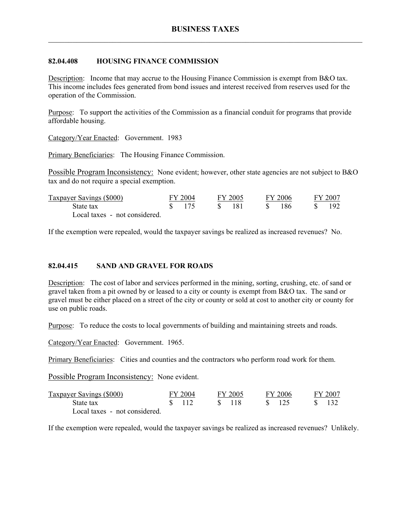#### **82.04.408 HOUSING FINANCE COMMISSION**

Description: Income that may accrue to the Housing Finance Commission is exempt from B&O tax. This income includes fees generated from bond issues and interest received from reserves used for the operation of the Commission.

Purpose: To support the activities of the Commission as a financial conduit for programs that provide affordable housing.

Category/Year Enacted: Government. 1983

Primary Beneficiaries: The Housing Finance Commission.

Possible Program Inconsistency: None evident; however, other state agencies are not subject to B&O tax and do not require a special exemption.

| Taxpayer Savings (\$000)      | FY 2004            | FY 2005 |              | FY 2006 |  | FY 2007 |
|-------------------------------|--------------------|---------|--------------|---------|--|---------|
| State tax                     | $\frac{\ }{8}$ 175 | -181    | $\mathbf{x}$ | -186    |  | 192     |
| Local taxes - not considered. |                    |         |              |         |  |         |

If the exemption were repealed, would the taxpayer savings be realized as increased revenues? No.

#### **82.04.415 SAND AND GRAVEL FOR ROADS**

Description: The cost of labor and services performed in the mining, sorting, crushing, etc. of sand or gravel taken from a pit owned by or leased to a city or county is exempt from B&O tax. The sand or gravel must be either placed on a street of the city or county or sold at cost to another city or county for use on public roads.

Purpose: To reduce the costs to local governments of building and maintaining streets and roads.

Category/Year Enacted: Government. 1965.

Primary Beneficiaries: Cities and counties and the contractors who perform road work for them.

Possible Program Inconsistency: None evident.

| Taxpayer Savings (\$000)      | FY 2004 | FY 2005 | FY 2006        | FY 2007        |
|-------------------------------|---------|---------|----------------|----------------|
| State tax                     | \$112   | -ST-118 | $\sqrt{8}$ 125 | $\sqrt{8}$ 132 |
| Local taxes - not considered. |         |         |                |                |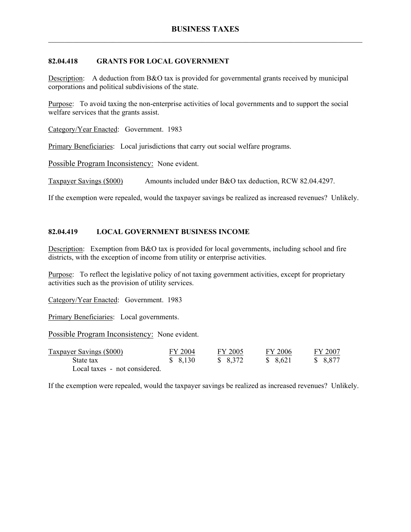## **82.04.418 GRANTS FOR LOCAL GOVERNMENT**

Description: A deduction from B&O tax is provided for governmental grants received by municipal corporations and political subdivisions of the state.

Purpose: To avoid taxing the non-enterprise activities of local governments and to support the social welfare services that the grants assist.

Category/Year Enacted: Government. 1983

Primary Beneficiaries: Local jurisdictions that carry out social welfare programs.

Possible Program Inconsistency: None evident.

Taxpayer Savings (\$000) Amounts included under B&O tax deduction, RCW 82.04.4297.

If the exemption were repealed, would the taxpayer savings be realized as increased revenues? Unlikely.

## **82.04.419 LOCAL GOVERNMENT BUSINESS INCOME**

Description: Exemption from B&O tax is provided for local governments, including school and fire districts, with the exception of income from utility or enterprise activities.

Purpose: To reflect the legislative policy of not taxing government activities, except for proprietary activities such as the provision of utility services.

Category/Year Enacted: Government. 1983

Primary Beneficiaries: Local governments.

Possible Program Inconsistency: None evident.

| <b>Taxpayer Savings (\$000)</b> | FY 2004 | FY 2005 | FY 2006  | FY 2007  |
|---------------------------------|---------|---------|----------|----------|
| State tax                       | \$8,130 | \$8,372 | \$ 8.621 | \$ 8,877 |
| Local taxes - not considered.   |         |         |          |          |